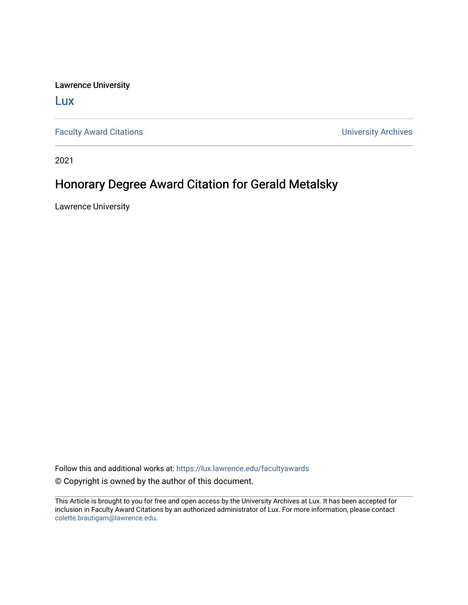Lawrence University

[Lux](https://lux.lawrence.edu/)

[Faculty Award Citations](https://lux.lawrence.edu/facultyawards) **Example 2018** 2019 12:30 Number 2019 12:30 Number 2019 12:30 Number 2019 12:30 Number 2019 12:30 Number 2019 12:30 Number 2019 12:30 Number 2019 12:30 Number 2019 12:30 Number 2019 12:30 Number 201

2021

## Honorary Degree Award Citation for Gerald Metalsky

Lawrence University

Follow this and additional works at: [https://lux.lawrence.edu/facultyawards](https://lux.lawrence.edu/facultyawards?utm_source=lux.lawrence.edu%2Ffacultyawards%2F211&utm_medium=PDF&utm_campaign=PDFCoverPages)  © Copyright is owned by the author of this document.

This Article is brought to you for free and open access by the University Archives at Lux. It has been accepted for inclusion in Faculty Award Citations by an authorized administrator of Lux. For more information, please contact [colette.brautigam@lawrence.edu.](mailto:colette.brautigam@lawrence.edu)